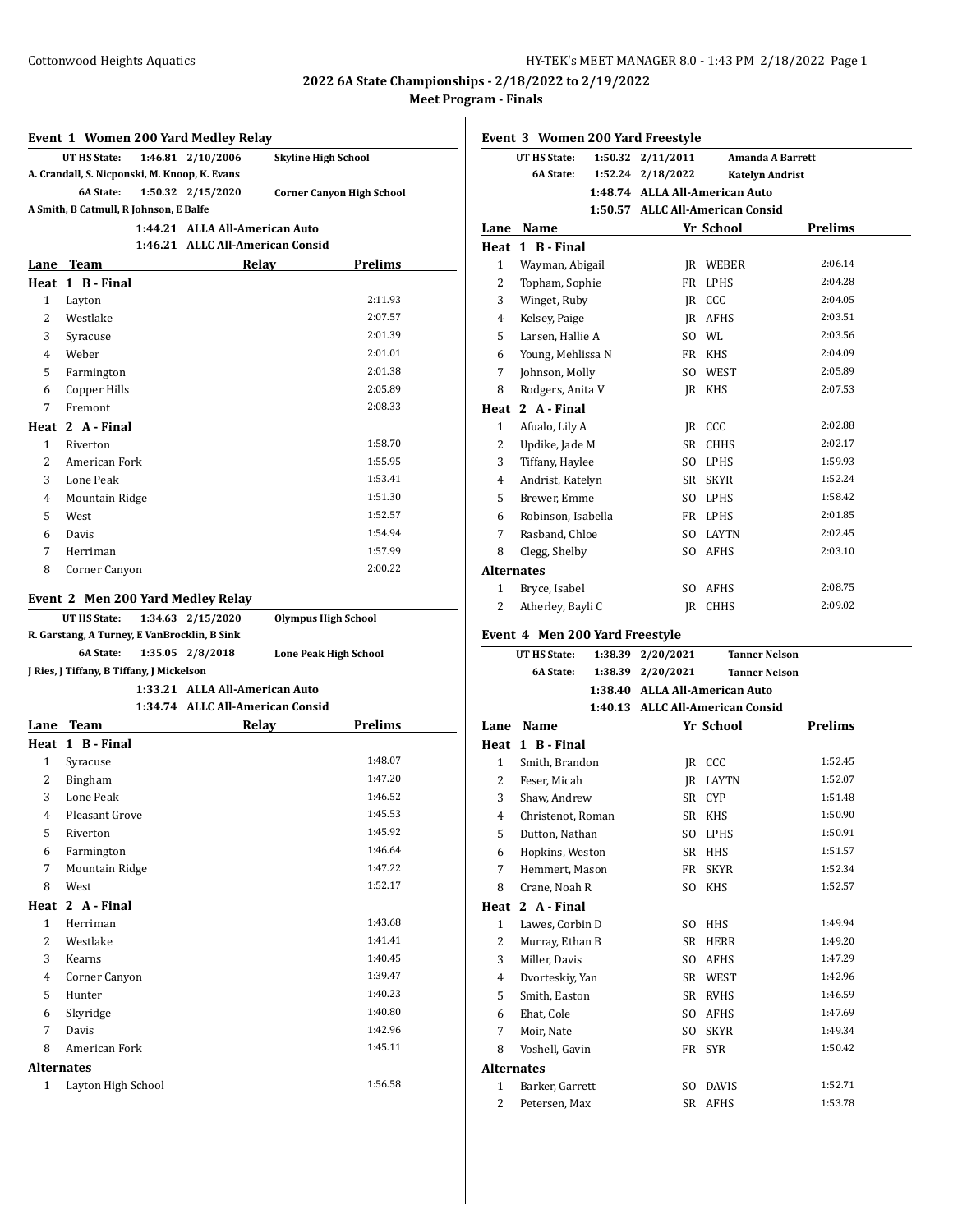#### **Event 1 Women 200 Yard Medley Relay**

|                                               | UT HS State: |  | 1:46.81 2/10/2006 | <b>Skyline High School</b>       |  |
|-----------------------------------------------|--------------|--|-------------------|----------------------------------|--|
| A. Crandall, S. Nicponski, M. Knoop, K. Evans |              |  |                   |                                  |  |
|                                               | 6A State:    |  | 1:50.32 2/15/2020 | <b>Corner Canyon High School</b> |  |
| A Smith, B Catmull, R Johnson, E Balfe        |              |  |                   |                                  |  |
| 1:44.21 ALLA All-American Auto                |              |  |                   |                                  |  |

### **1:46.21 ALLC All-American Consid**

| Lane         | <b>Team</b>      | Relay | <b>Prelims</b> |
|--------------|------------------|-------|----------------|
|              | Heat 1 B - Final |       |                |
| $\mathbf{1}$ | Layton           |       | 2:11.93        |
| 2            | Westlake         |       | 2:07.57        |
| 3            | Syracuse         |       | 2:01.39        |
| 4            | Weber            |       | 2:01.01        |
| 5            | Farmington       |       | 2:01.38        |
| 6            | Copper Hills     |       | 2:05.89        |
| 7            | Fremont          |       | 2:08.33        |
|              | Heat 2 A - Final |       |                |
| 1            | Riverton         |       | 1:58.70        |
| 2            | American Fork    |       | 1:55.95        |
| 3            | Lone Peak        |       | 1:53.41        |
| 4            | Mountain Ridge   |       | 1:51.30        |
| 5            | West             |       | 1:52.57        |
| 6            | Davis            |       | 1:54.94        |
| 7            | Herriman         |       | 1:57.99        |
| 8            | Corner Canyon    |       | 2:00.22        |

#### **Event 2 Men 200 Yard Medley Relay**

| UT HS State: 1:34.63 2/15/2020               |  |                                  | <b>Olympus High School</b>   |  |  |  |  |
|----------------------------------------------|--|----------------------------------|------------------------------|--|--|--|--|
| R. Garstang, A Turney, E VanBrocklin, B Sink |  |                                  |                              |  |  |  |  |
|                                              |  | 6A State: 1:35.05 2/8/2018       | <b>Lone Peak High School</b> |  |  |  |  |
| J Ries, J Tiffany, B Tiffany, J Mickelson    |  |                                  |                              |  |  |  |  |
| 1:33.21 ALLA All-American Auto               |  |                                  |                              |  |  |  |  |
|                                              |  | 1:34.74 ALLC All-American Consid |                              |  |  |  |  |

| Lane              | <b>Team</b>           | Relay | <b>Prelims</b> |
|-------------------|-----------------------|-------|----------------|
| Heat              | 1 B - Final           |       |                |
| 1                 | Syracuse              |       | 1:48.07        |
| 2                 | Bingham               |       | 1:47.20        |
| 3                 | Lone Peak             |       | 1:46.52        |
| 4                 | <b>Pleasant Grove</b> |       | 1:45.53        |
| 5                 | Riverton              |       | 1:45.92        |
| 6                 | Farmington            |       | 1:46.64        |
| 7                 | Mountain Ridge        |       | 1:47.22        |
| 8                 | West                  |       | 1:52.17        |
|                   | Heat 2 A - Final      |       |                |
| $\mathbf{1}$      | Herriman              |       | 1:43.68        |
| 2                 | Westlake              |       | 1:41.41        |
| 3                 | Kearns                |       | 1:40.45        |
| 4                 | Corner Canyon         |       | 1:39.47        |
| 5                 | Hunter                |       | 1:40.23        |
| 6                 | Skyridge              |       | 1:40.80        |
| 7                 | Davis                 |       | 1:42.96        |
| 8                 | American Fork         |       | 1:45.11        |
| <b>Alternates</b> |                       |       |                |
| 1                 | Layton High School    |       | 1:56.58        |

## **Event 3 Women 200 Yard Freestyle UT HS State: 1:50.32 2/11/2011 Amanda A Barrett 6A State: 1:52.24 2/18/2022 Katelyn Andrist 1:48.74 ALLA All-American Auto 1:50.57 ALLC All-American Consid Lane Name Yr School Prelims Heat 1 B - Final** 1 Wayman, Abigail JR WEBER 2:06.14 2 Topham, Sophie FR LPHS 2:04.28 3 Winget, Ruby JR CCC 2:04.05 4 Kelsey, Paige JR AFHS 2:03.51 5 Larsen, Hallie A SO WL 2:03.56 6 Young, Mehlissa N FR KHS 2:04.09 7 Johnson, Molly SO WEST 2:05.89 8 Rodgers, Anita V JR KHS 2:07.53 **Heat 2 A - Final** 1 Afualo, Lily A JR CCC 2:02.88 2 Updike, Jade M SR CHHS 2:02.17 3 Tiffany, Haylee SO LPHS 1:59.93 4 Andrist, Katelyn SR SKYR 1:52.24 5 Brewer, Emme SO LPHS 1:58.42 6 Robinson, Isabella FR LPHS 2:01.85 7 Rasband, Chloe SO LAYTN 2:02.45 8 Clegg, Shelby SO AFHS 2:03.10 **Alternates** 1 Bryce, Isabel SO AFHS 2:08.75 2 Atherley, Bayli C JR CHHS 2:09.02 **Event 4 Men 200 Yard Freestyle UT HS State: 1:38.39 2/20/2021 Tanner Nelson 6A State: 1:38.39 2/20/2021 Tanner Nelson 1:38.40 ALLA All-American Auto 1:40.13 ALLC All-American Consid Lane Name Yr School Prelims Heat 1 B - Final** 1 Smith, Brandon JR CCC 1:52.45 2 Feser, Micah JR LAYTN 1:52.07 3 Shaw, Andrew SR CYP 1:51.48

| 3            | Shaw, Andrew      |     | SR CYP      | 1:51.48 |
|--------------|-------------------|-----|-------------|---------|
| 4            | Christenot, Roman |     | SR KHS      | 1:50.90 |
| 5            | Dutton, Nathan    | SO  | <b>LPHS</b> | 1:50.91 |
| 6            | Hopkins, Weston   | SR  | <b>HHS</b>  | 1:51.57 |
| 7            | Hemmert, Mason    | FR  | <b>SKYR</b> | 1:52.34 |
| 8            | Crane, Noah R     | SO. | <b>KHS</b>  | 1:52.57 |
| Heat         | 2 A - Final       |     |             |         |
| $\mathbf{1}$ | Lawes, Corbin D   | SO. | <b>HHS</b>  | 1:49.94 |
| 2            | Murray, Ethan B   | SR  | HERR        | 1:49.20 |
| 3            | Miller, Davis     | SO. | <b>AFHS</b> | 1:47.29 |
| 4            | Dvorteskiy, Yan   | SR  | WEST        | 1:42.96 |
| 5            | Smith, Easton     | SR  | <b>RVHS</b> | 1:46.59 |
| 6            | Ehat, Cole        | SO. | AFHS        | 1:47.69 |
| 7            | Moir, Nate        | SO. | <b>SKYR</b> | 1:49.34 |
| 8            | Voshell, Gavin    |     | FR SYR      | 1:50.42 |
| Alternates   |                   |     |             |         |
| $\mathbf{1}$ | Barker, Garrett   | SO. | DAVIS       | 1:52.71 |
| 2            | Petersen, Max     | SR  | <b>AFHS</b> | 1:53.78 |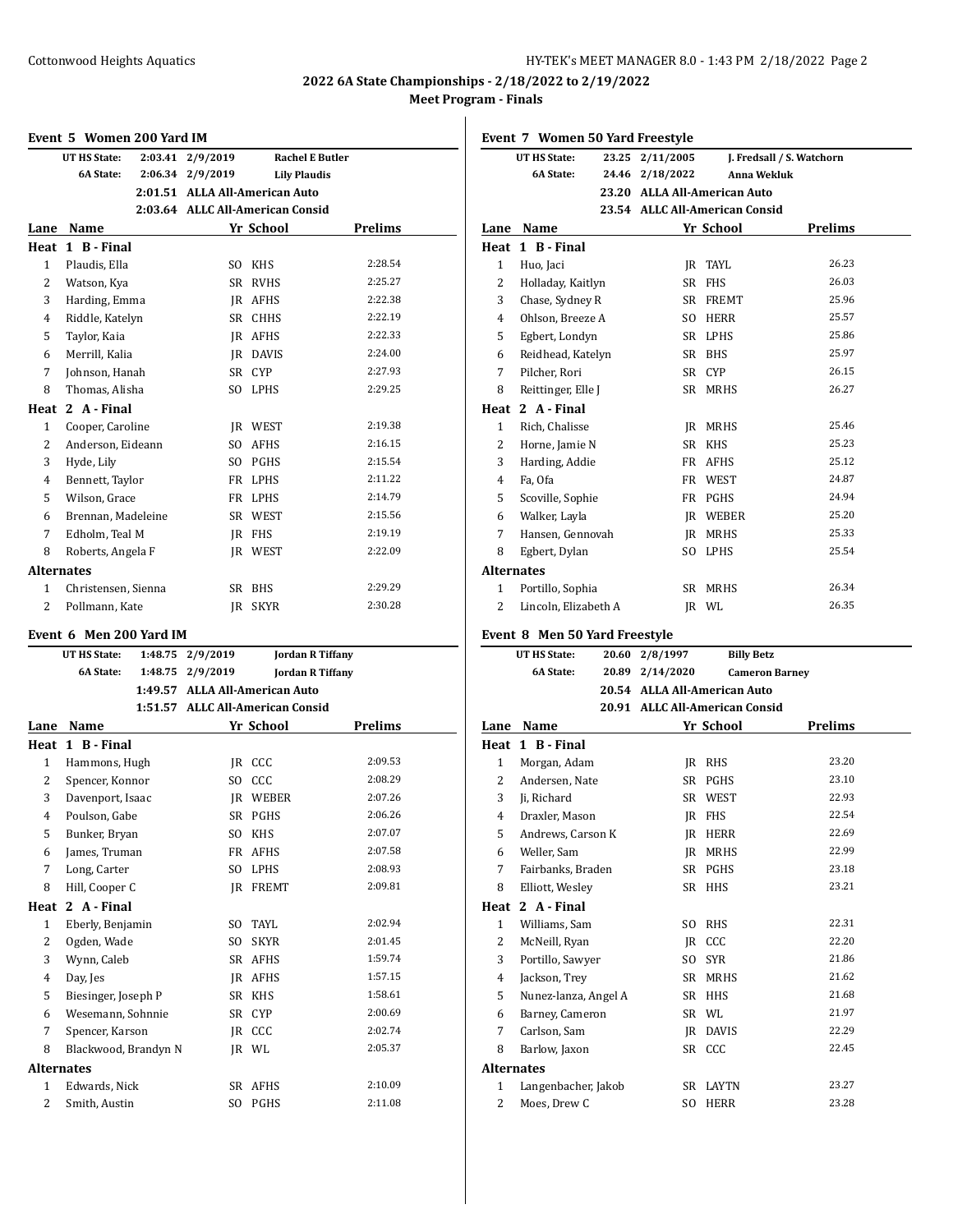# **Event 5 Women 200 Yard IM**

|                   | event 5 women zuu yaru im |         |                                  |                     |                         |
|-------------------|---------------------------|---------|----------------------------------|---------------------|-------------------------|
|                   | UT HS State:              | 2:03.41 | 2/9/2019                         |                     | <b>Rachel E Butler</b>  |
|                   | 6A State:                 |         | 2:06.34 2/9/2019                 | <b>Lily Plaudis</b> |                         |
|                   |                           |         | 2:01.51 ALLA All-American Auto   |                     |                         |
|                   |                           |         | 2:03.64 ALLC All-American Consid |                     |                         |
|                   | Lane Name                 |         |                                  | Yr School           | Prelims                 |
|                   | Heat 1 B - Final          |         |                                  |                     |                         |
| $\mathbf{1}$      | Plaudis, Ella             |         |                                  | SO KHS              | 2:28.54                 |
| $\overline{2}$    | Watson, Kya               |         |                                  | SR RVHS             | 2:25.27                 |
| 3                 | Harding, Emma             |         |                                  | JR AFHS             | 2:22.38                 |
| $\overline{4}$    | Riddle, Katelyn           |         |                                  | SR CHHS             | 2:22.19                 |
| 5                 | Taylor, Kaia              |         |                                  | IR AFHS             | 2:22.33                 |
| 6                 | Merrill, Kalia            |         |                                  | JR DAVIS            | 2:24.00                 |
| 7                 | Johnson, Hanah            |         |                                  | SR CYP              | 2:27.93                 |
| 8                 | Thomas, Alisha            |         | SO.                              | LPHS                | 2:29.25                 |
|                   | Heat 2 A - Final          |         |                                  |                     |                         |
| $\mathbf{1}$      | Cooper, Caroline          |         |                                  | JR WEST             | 2:19.38                 |
| 2                 | Anderson, Eideann         |         |                                  | SO AFHS             | 2:16.15                 |
| 3                 | Hyde, Lily                |         |                                  | SO PGHS             | 2:15.54                 |
| 4                 | Bennett, Taylor           |         |                                  | FR LPHS             | 2:11.22                 |
| 5                 | Wilson, Grace             |         |                                  | FR LPHS             | 2:14.79                 |
| 6                 | Brennan, Madeleine        |         |                                  | SR WEST             | 2:15.56                 |
| 7                 | Edholm, Teal M            |         |                                  | JR FHS              | 2:19.19                 |
| 8                 | Roberts, Angela F         |         |                                  | JR WEST             | 2:22.09                 |
| <b>Alternates</b> |                           |         |                                  |                     |                         |
| 1                 | Christensen, Sienna       |         |                                  | SR BHS              | 2:29.29                 |
| 2                 | Pollmann, Kate            |         | JR                               | <b>SKYR</b>         | 2:30.28                 |
|                   |                           |         |                                  |                     |                         |
|                   |                           |         |                                  |                     |                         |
|                   | Event 6 Men 200 Yard IM   |         |                                  |                     |                         |
|                   | <b>UT HS State:</b>       |         | 1:48.75 2/9/2019                 |                     | <b>Jordan R Tiffany</b> |
|                   | 6A State:                 |         | 1:48.75 2/9/2019                 |                     | <b>Jordan R Tiffany</b> |
|                   |                           |         | 1:49.57 ALLA All-American Auto   |                     |                         |
|                   |                           |         | 1:51.57 ALLC All-American Consid |                     |                         |
|                   | Lane Name                 |         |                                  | Yr School           | Prelims                 |
|                   | Heat 1 B - Final          |         |                                  |                     |                         |
| 1                 | Hammons, Hugh             |         |                                  | JR CCC              | 2:09.53                 |
| 2                 | Spencer, Konnor           |         |                                  | SO CCC              | 2:08.29                 |
| 3                 | Davenport, Isaac          |         |                                  | JR WEBER            | 2:07.26                 |
| $\overline{4}$    | Poulson, Gabe             |         |                                  | SR PGHS             | 2:06.26                 |
| 5                 | Bunker, Bryan             |         |                                  | SO KHS              | 2:07.07                 |
| 6                 | James, Truman             |         |                                  | FR AFHS             | 2:07.58                 |
| 7                 | Long, Carter              |         | SO.                              | <b>LPHS</b>         | 2:08.93                 |
| 8                 | Hill, Cooper C            |         | JR                               | FREMT               | 2:09.81                 |
| Heat              | 2 A - Final               |         |                                  |                     |                         |
| 1                 | Eberly, Benjamin          |         | SO.                              | TAYL                | 2:02.94                 |
| $\overline{c}$    | Ogden, Wade               |         | SO.                              | <b>SKYR</b>         | 2:01.45                 |
| 3                 | Wynn, Caleb               |         | SR                               | AFHS                | 1:59.74                 |
| 4                 | Day, Jes                  |         | JR                               | AFHS                | 1:57.15                 |
| 5                 | Biesinger, Joseph P       |         | SR                               | KHS                 | 1:58.61                 |
| 6                 | Wesemann, Sohnnie         |         | SR                               | CYP                 | 2:00.69                 |
| 7                 | Spencer, Karson           |         | JR                               | CCC                 | 2:02.74                 |
| 8                 | Blackwood, Brandyn N      |         | JR                               | WL                  | 2:05.37                 |
| <b>Alternates</b> |                           |         |                                  |                     |                         |

Smith, Austin SO PGHS 2:11.08

|                   | Event 7 Women 50 Yard Freestyle         |       |                 |                                                                |                           |
|-------------------|-----------------------------------------|-------|-----------------|----------------------------------------------------------------|---------------------------|
|                   | UT HS State:                            |       | 23.25 2/11/2005 |                                                                | J. Fredsall / S. Watchorn |
|                   | <b>6A State:</b>                        |       | 24.46 2/18/2022 | Anna Wekluk                                                    |                           |
|                   |                                         |       |                 | 23.20 ALLA All-American Auto                                   |                           |
|                   |                                         |       |                 | 23.54 ALLC All-American Consid                                 |                           |
|                   | Lane Name                               |       |                 | Yr School                                                      | <b>Prelims</b>            |
|                   | Heat 1 B - Final                        |       |                 |                                                                |                           |
| $\mathbf{1}$      | Huo, Jaci                               |       |                 | JR TAYL                                                        | 26.23                     |
| 2                 | Holladay, Kaitlyn                       |       |                 | SR FHS                                                         | 26.03                     |
| 3                 | Chase, Sydney R                         |       |                 | SR FREMT                                                       | 25.96                     |
| 4                 | Ohlson, Breeze A                        |       |                 | SO HERR                                                        | 25.57                     |
| 5                 | Egbert, Londyn                          |       |                 | SR LPHS                                                        | 25.86                     |
| 6                 | Reidhead, Katelyn                       |       |                 | SR BHS                                                         | 25.97                     |
| 7                 | Pilcher, Rori                           |       |                 | SR CYP                                                         | 26.15                     |
| 8                 | Reittinger, Elle J                      |       |                 | SR MRHS                                                        | 26.27                     |
|                   | Heat 2 A - Final                        |       |                 |                                                                |                           |
| $\mathbf{1}$      | Rich, Chalisse                          |       |                 | JR MRHS                                                        | 25.46                     |
| 2                 | Horne, Jamie N                          |       |                 | SR KHS                                                         | 25.23                     |
| 3                 | Harding, Addie                          |       |                 | FR AFHS                                                        | 25.12                     |
| 4                 | Fa, Ofa                                 |       |                 | FR WEST                                                        | 24.87                     |
| 5                 | Scoville, Sophie                        |       |                 | FR PGHS                                                        | 24.94                     |
| 6                 | Walker, Layla                           |       |                 | JR WEBER                                                       | 25.20                     |
| 7                 | Hansen, Gennovah                        |       |                 | JR MRHS                                                        | 25.33                     |
| 8                 | Egbert, Dylan                           |       |                 | SO LPHS                                                        | 25.54                     |
| <b>Alternates</b> |                                         |       |                 |                                                                |                           |
| 1                 | Portillo, Sophia                        |       |                 | SR MRHS                                                        | 26.34                     |
| 2                 | Lincoln, Elizabeth A                    |       |                 | JR WL                                                          | 26.35                     |
|                   | Event 8 Men 50 Yard Freestyle           |       |                 |                                                                |                           |
|                   | <b>UT HS State:</b>                     | 20.60 | 2/8/1997        | <b>Billy Betz</b>                                              |                           |
|                   |                                         |       |                 |                                                                |                           |
|                   |                                         |       |                 |                                                                |                           |
|                   | 6A State:                               |       | 20.89 2/14/2020 |                                                                | <b>Cameron Barney</b>     |
|                   |                                         |       |                 | 20.54 ALLA All-American Auto<br>20.91 ALLC All-American Consid |                           |
|                   | Lane Name                               |       |                 |                                                                |                           |
|                   | Heat 1 B - Final                        |       |                 | Yr School                                                      | <b>Prelims</b>            |
| $\mathbf{1}$      | Morgan, Adam                            |       |                 | IR RHS                                                         | 23.20                     |
| 2                 | Andersen, Nate                          |       |                 | SR PGHS                                                        | 23.10                     |
| 3                 | Ji, Richard                             |       |                 | SR WEST                                                        | 22.93                     |
| 4                 | Draxler, Mason                          |       |                 | IR FHS                                                         | 22.54                     |
| 5                 | Andrews, Carson K                       |       |                 | JR HERR                                                        | 22.69                     |
| 6                 | Weller, Sam                             |       | JR              | MRHS                                                           | 22.99                     |
| 7                 | Fairbanks, Braden                       |       |                 | SR PGHS                                                        | 23.18                     |
| 8                 | Elliott, Wesley                         |       |                 | SR HHS                                                         | 23.21                     |
|                   | Heat 2 A - Final                        |       |                 |                                                                |                           |
| 1                 | Williams, Sam                           |       | SO.             | RHS                                                            | 22.31                     |
| 2                 |                                         |       |                 | CCC                                                            | 22.20                     |
| 3                 | McNeill, Ryan<br>Portillo, Sawyer       |       | JR.<br>SO.      | <b>SYR</b>                                                     | 21.86                     |
| 4                 | Jackson, Trey                           |       |                 | SR MRHS                                                        | 21.62                     |
| 5                 |                                         |       |                 | SR HHS                                                         | 21.68                     |
| 6                 | Nunez-lanza, Angel A<br>Barney, Cameron |       |                 | SR WL                                                          | 21.97                     |
| 7                 | Carlson, Sam                            |       |                 | JR DAVIS                                                       | 22.29                     |
| 8                 | Barlow, Jaxon                           |       | SR              | CCC                                                            | 22.45                     |
| <b>Alternates</b> |                                         |       |                 |                                                                |                           |
| $\mathbf{1}$      | Langenbacher, Jakob                     |       | SR              | LAYTN                                                          | 23.27                     |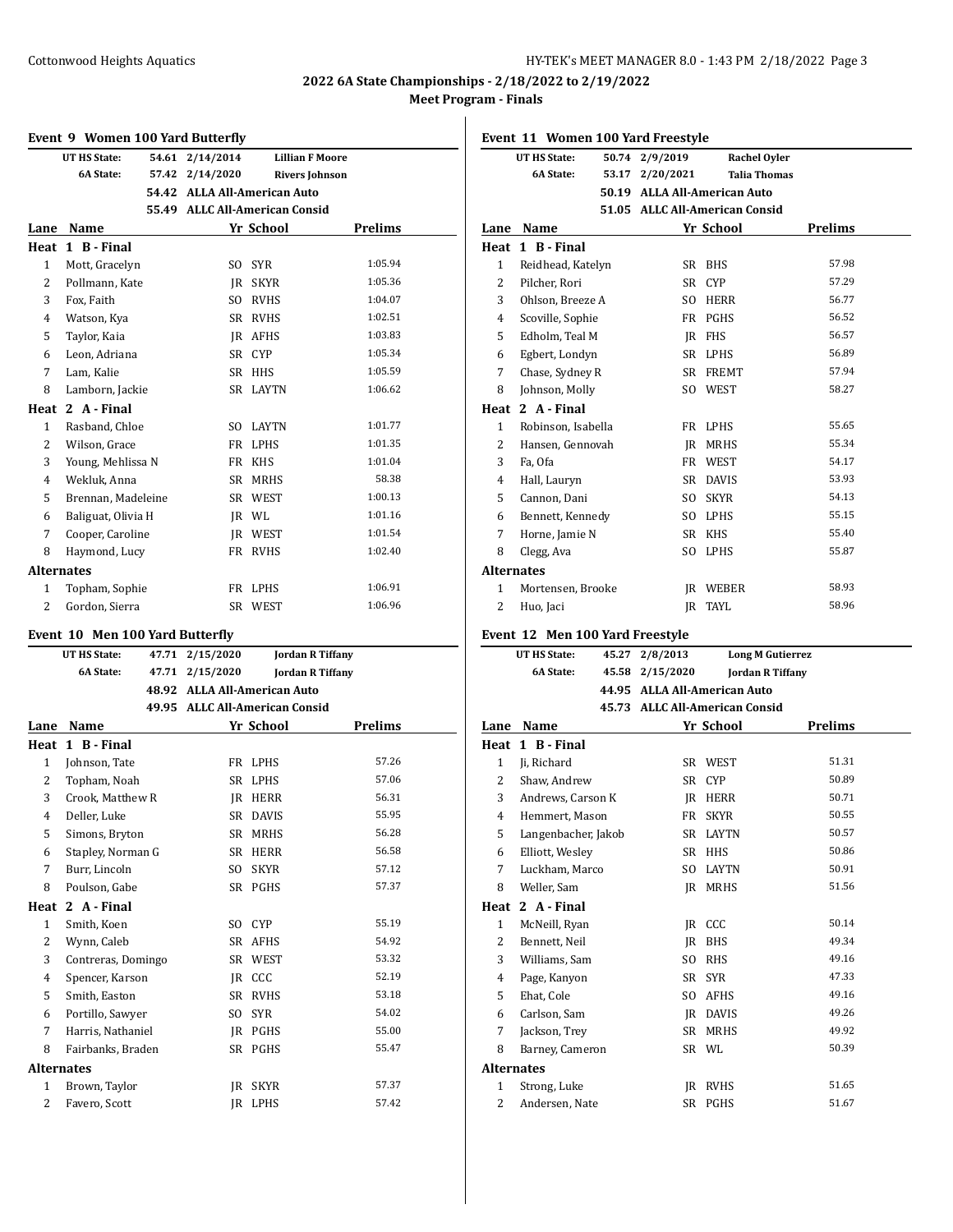## Cottonwood Heights Aquatics **HY-TEK's MEET MANAGER 8.0 - 1:43 PM 2/18/2022** Page 3

## **2022 6A State Championships - 2/18/2022 to 2/19/2022 Meet Program - Finals**

## **Event 9 Women 100 Yard Butterfly**

|                   | Event 9 women fou faru butterny |       |                                |              |                         |
|-------------------|---------------------------------|-------|--------------------------------|--------------|-------------------------|
|                   | <b>UT HS State:</b>             | 54.61 | 2/14/2014                      |              | <b>Lillian F Moore</b>  |
|                   | <b>6A State:</b>                | 57.42 | 2/14/2020                      |              | <b>Rivers Johnson</b>   |
|                   |                                 | 54.42 | <b>ALLA All-American Auto</b>  |              |                         |
|                   |                                 |       | 55.49 ALLC All-American Consid |              |                         |
| Lane              | Name                            |       |                                | Yr School    | <b>Prelims</b>          |
|                   | Heat 1 B - Final                |       |                                |              |                         |
| $\mathbf{1}$      | Mott, Gracelyn                  |       | SO.                            | <b>SYR</b>   | 1:05.94                 |
| $\overline{2}$    | Pollmann, Kate                  |       |                                | IR SKYR      | 1:05.36                 |
| 3                 | Fox, Faith                      |       |                                | SO RVHS      | 1:04.07                 |
| $\overline{4}$    | Watson, Kya                     |       |                                | SR RVHS      | 1:02.51                 |
| 5                 | Taylor, Kaia                    |       |                                | IR AFHS      | 1:03.83                 |
| 6                 | Leon, Adriana                   |       | SR                             | <b>CYP</b>   | 1:05.34                 |
| 7                 | Lam, Kalie                      |       | SR                             | HHS          | 1:05.59                 |
| 8                 | Lamborn, Jackie                 |       |                                | SR LAYTN     | 1:06.62                 |
| Heat              | 2 A - Final                     |       |                                |              |                         |
| $\mathbf{1}$      | Rasband, Chloe                  |       | SO.                            | <b>LAYTN</b> | 1:01.77                 |
| 2                 | Wilson, Grace                   |       | FR                             | <b>LPHS</b>  | 1:01.35                 |
| 3                 | Young, Mehlissa N               |       | FR -                           | <b>KHS</b>   | 1:01.04                 |
| $\overline{4}$    | Wekluk, Anna                    |       | SR                             | <b>MRHS</b>  | 58.38                   |
| 5                 | Brennan, Madeleine              |       |                                | SR WEST      | 1:00.13                 |
| 6                 | Baliguat, Olivia H              |       |                                | IR WL        | 1:01.16                 |
| 7                 | Cooper, Caroline                |       |                                | JR WEST      | 1:01.54                 |
| 8                 | Haymond, Lucy                   |       |                                | FR RVHS      | 1:02.40                 |
| <b>Alternates</b> |                                 |       |                                |              |                         |
| 1                 | Topham, Sophie                  |       |                                | FR LPHS      | 1:06.91                 |
| 2                 | Gordon, Sierra                  |       | SR                             | WEST         | 1:06.96                 |
|                   | Event 10 Men 100 Yard Butterfly |       |                                |              |                         |
|                   | UT HS State:                    | 47.71 | 2/15/2020                      |              | <b>Jordan R Tiffany</b> |
|                   | <b>6A State:</b>                |       | 47.71 2/15/2020                |              | <b>Jordan R Tiffany</b> |
|                   |                                 |       | 48.92 ALLA All-American Auto   |              |                         |
|                   |                                 |       | 49.95 ALLC All-American Consid |              |                         |
| Lane              | Name                            |       |                                | Yr School    | <b>Prelims</b>          |
| Heat              | 1 B - Final                     |       |                                |              |                         |
| $\mathbf{1}$      | Johnson, Tate                   |       | FR                             | <b>LPHS</b>  | 57.26                   |
| $\overline{c}$    | Topham, Noah                    |       | SR                             | <b>LPHS</b>  | 57.06                   |

| πται              | т р-гшаг           |     |              |       |
|-------------------|--------------------|-----|--------------|-------|
| 1                 | Johnson, Tate      | FR  | LPHS         | 57.26 |
| 2                 | Topham, Noah       | SR  | <b>LPHS</b>  | 57.06 |
| 3                 | Crook, Matthew R   | IR  | <b>HERR</b>  | 56.31 |
| $\overline{4}$    | Deller, Luke       | SR  | <b>DAVIS</b> | 55.95 |
| 5                 | Simons, Bryton     | SR  | <b>MRHS</b>  | 56.28 |
| 6                 | Stapley, Norman G  | SR  | <b>HERR</b>  | 56.58 |
| 7                 | Burr, Lincoln      | SO  | <b>SKYR</b>  | 57.12 |
| 8                 | Poulson, Gabe      |     | SR PGHS      | 57.37 |
| Heat              | 2 A - Final        |     |              |       |
| 1                 | Smith, Koen        | SO  | <b>CYP</b>   | 55.19 |
| 2                 | Wynn, Caleb        | SR  | <b>AFHS</b>  | 54.92 |
| 3                 | Contreras, Domingo | SR  | WEST         | 53.32 |
| $\overline{4}$    | Spencer, Karson    |     | IR CCC       | 52.19 |
| 5                 | Smith, Easton      | SR  | <b>RVHS</b>  | 53.18 |
| 6                 | Portillo, Sawyer   | SO. | <b>SYR</b>   | 54.02 |
| 7                 | Harris, Nathaniel  | IR  | PGHS         | 55.00 |
| 8                 | Fairbanks, Braden  | SR  | PGHS         | 55.47 |
| <b>Alternates</b> |                    |     |              |       |
| 1                 | Brown, Taylor      | IR  | <b>SKYR</b>  | 57.37 |
| $\overline{c}$    | Favero, Scott      | IR  | LPHS         | 57.42 |

|                         | Event 11 Women 100 Yard Freestyle       |       |                                                                |                     |                         |
|-------------------------|-----------------------------------------|-------|----------------------------------------------------------------|---------------------|-------------------------|
|                         | UT HS State:                            | 50.74 | 2/9/2019                                                       | <b>Rachel Oyler</b> |                         |
|                         | 6A State:                               | 53.17 | 2/20/2021                                                      | <b>Talia Thomas</b> |                         |
|                         |                                         |       | 50.19 ALLA All-American Auto                                   |                     |                         |
|                         |                                         |       | 51.05 ALLC All-American Consid                                 |                     |                         |
|                         | Lane Name                               |       |                                                                | Yr School           | <b>Prelims</b>          |
|                         | Heat 1 B - Final                        |       |                                                                |                     |                         |
| 1                       | Reidhead, Katelyn                       |       |                                                                | SR BHS              | 57.98                   |
| 2                       | Pilcher, Rori                           |       |                                                                | SR CYP              | 57.29                   |
| 3                       | Ohlson, Breeze A                        |       |                                                                | SO HERR             | 56.77                   |
| 4                       | Scoville, Sophie                        |       |                                                                | FR PGHS             | 56.52                   |
| 5                       | Edholm, Teal M                          |       |                                                                | IR FHS              | 56.57                   |
| 6                       | Egbert, Londyn                          |       |                                                                | SR LPHS             | 56.89                   |
| 7                       | Chase, Sydney R                         |       |                                                                | SR FREMT            | 57.94                   |
| 8                       | Johnson, Molly                          |       |                                                                | SO WEST             | 58.27                   |
|                         | Heat 2 A - Final                        |       |                                                                |                     |                         |
| $\mathbf{1}$            | Robinson, Isabella                      |       |                                                                | FR LPHS             | 55.65                   |
| 2                       | Hansen, Gennovah                        |       |                                                                | JR MRHS             | 55.34                   |
| 3                       | Fa, Ofa                                 |       |                                                                | FR WEST             | 54.17                   |
| 4                       | Hall, Lauryn                            |       |                                                                | SR DAVIS            | 53.93                   |
| 5                       | Cannon, Dani                            |       | SO                                                             | <b>SKYR</b>         | 54.13                   |
| 6                       | Bennett, Kennedy                        |       |                                                                | SO LPHS             | 55.15                   |
| 7                       | Horne, Jamie N                          |       |                                                                | SR KHS              | 55.40                   |
| 8                       | Clegg, Ava                              |       |                                                                | SO LPHS             | 55.87                   |
| <b>Alternates</b>       |                                         |       |                                                                |                     |                         |
| $\mathbf{1}$            | Mortensen, Brooke                       |       |                                                                | <b>IR WEBER</b>     | 58.93                   |
| 2                       | Huo, Jaci                               |       | IR                                                             | TAYL                | 58.96                   |
|                         | Event 12 Men 100 Yard Freestyle         |       |                                                                |                     |                         |
|                         |                                         |       |                                                                |                     |                         |
|                         |                                         |       |                                                                |                     |                         |
|                         | <b>UT HS State:</b><br><b>6A State:</b> |       | 45.27 2/8/2013                                                 |                     | <b>Long M Gutierrez</b> |
|                         |                                         |       | 45.58 2/15/2020                                                |                     | <b>Jordan R Tiffany</b> |
|                         |                                         |       | 44.95 ALLA All-American Auto<br>45.73 ALLC All-American Consid |                     |                         |
|                         |                                         |       |                                                                |                     |                         |
|                         | Lane Name                               |       |                                                                | Yr School           | <b>Prelims</b>          |
|                         | Heat 1 B - Final                        |       |                                                                |                     | 51.31                   |
| $\mathbf{1}$            | Ji, Richard                             |       |                                                                | SR WEST             | 50.89                   |
| 2                       | Shaw, Andrew                            |       |                                                                | SR CYP              | 50.71                   |
| 3                       | Andrews, Carson K                       |       |                                                                | JR HERR             | 50.55                   |
| 4                       | Hemmert, Mason                          |       | FR                                                             | <b>SKYR</b>         |                         |
| 5                       | Langenbacher, Jakob                     |       |                                                                | SR LAYTN            | 50.57                   |
| 6                       | Elliott, Wesley                         |       | SR                                                             | HHS                 | 50.86                   |
| 7                       | Luckham, Marco                          |       | SO.                                                            | LAYTN               | 50.91                   |
| 8                       | Weller, Sam                             |       | IR                                                             | <b>MRHS</b>         | 51.56                   |
| Heat                    | 2 A - Final                             |       |                                                                |                     |                         |
| $\mathbf{1}$            | McNeill, Ryan                           |       |                                                                | JR CCC              | 50.14                   |
| 2                       | Bennett, Neil                           |       | JR                                                             | <b>BHS</b>          | 49.34<br>49.16          |
| 3                       | Williams, Sam                           |       | SO                                                             | RHS                 |                         |
| $\overline{\mathbf{4}}$ | Page, Kanyon                            |       | SR                                                             | <b>SYR</b>          | 47.33<br>49.16          |
| 5                       | Ehat, Cole                              |       | SO                                                             | AFHS                |                         |
| 6                       | Carlson, Sam                            |       |                                                                | JR DAVIS            | 49.26                   |
| 7                       | Jackson, Trey                           |       | SR                                                             | <b>MRHS</b>         | 49.92                   |
| 8                       | Barney, Cameron                         |       |                                                                | SR WL               | 50.39                   |
| <b>Alternates</b><br>1  | Strong, Luke                            |       |                                                                | JR RVHS             | 51.65                   |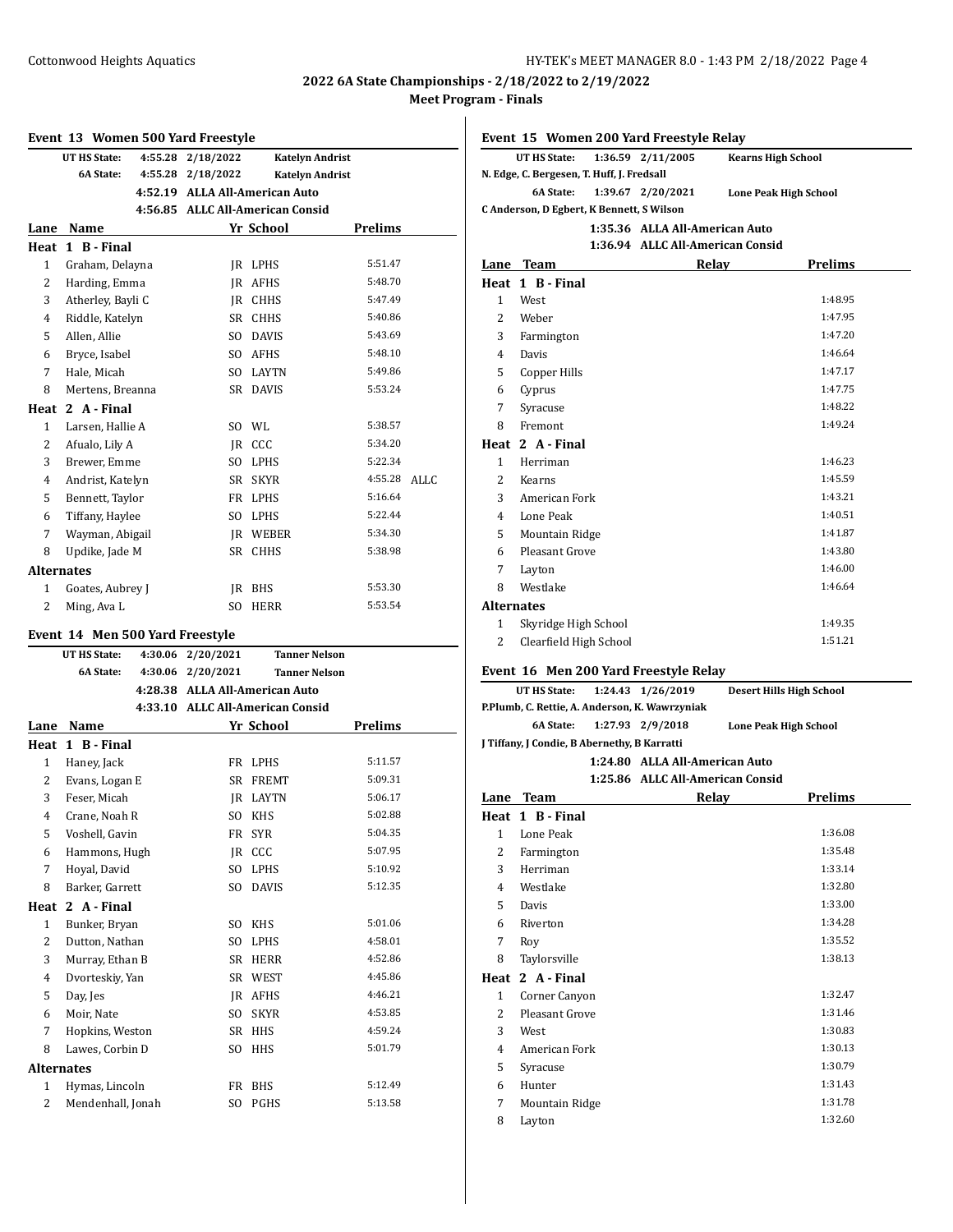Cottonwood Heights Aquatics HY-TEK's MEET MANAGER 8.0 - 1:43 PM 2/18/2022 Page 4

# **2022 6A State Championships - 2/18/2022 to 2/19/2022 Meet Program - Finals**

### **Event 13 Women 500 Yard Freestyle**

|                | <b>UT HS State:</b> | 4:55.28 2/18/2022 |                                  | <b>Katelyn Andrist</b> |      |
|----------------|---------------------|-------------------|----------------------------------|------------------------|------|
|                | <b>6A State:</b>    | 4:55.28 2/18/2022 |                                  | <b>Katelyn Andrist</b> |      |
|                |                     |                   | 4:52.19 ALLA All-American Auto   |                        |      |
|                |                     |                   | 4:56.85 ALLC All-American Consid |                        |      |
| Lane           | Name                |                   | Yr School                        | <b>Prelims</b>         |      |
| Heat           | 1 B - Final         |                   |                                  |                        |      |
| $\mathbf{1}$   | Graham, Delayna     | IR                | LPHS                             | 5:51.47                |      |
| $\overline{2}$ | Harding, Emma       | <b>IR</b>         | <b>AFHS</b>                      | 5:48.70                |      |
| 3              | Atherley, Bayli C   | <b>IR</b>         | <b>CHHS</b>                      | 5:47.49                |      |
| $\overline{4}$ | Riddle, Katelyn     | <b>SR</b>         | <b>CHHS</b>                      | 5:40.86                |      |
| 5              | Allen. Allie        | SO.               | <b>DAVIS</b>                     | 5:43.69                |      |
| 6              | Bryce, Isabel       | SO.               | <b>AFHS</b>                      | 5:48.10                |      |
| 7              | Hale, Micah         | SO.               | <b>LAYTN</b>                     | 5:49.86                |      |
| 8              | Mertens, Breanna    | <b>SR</b>         | <b>DAVIS</b>                     | 5:53.24                |      |
| Heat           | 2 A - Final         |                   |                                  |                        |      |
| $\mathbf{1}$   | Larsen, Hallie A    | SO.               | WL                               | 5:38.57                |      |
| $\overline{2}$ | Afualo, Lily A      |                   | IR CCC                           | 5:34.20                |      |
| 3              | Brewer. Emme        | S <sub>O</sub>    | <b>LPHS</b>                      | 5:22.34                |      |
| $\overline{4}$ | Andrist, Katelyn    | SR                | <b>SKYR</b>                      | 4:55.28                | ALLC |
| 5              | Bennett, Taylor     | FR                | <b>LPHS</b>                      | 5:16.64                |      |
| 6              | Tiffany, Haylee     | S <sub>O</sub>    | LPHS                             | 5:22.44                |      |
| 7              | Wayman, Abigail     | IR                | WEBER                            | 5:34.30                |      |
| 8              | Updike, Jade M      | <b>SR</b>         | <b>CHHS</b>                      | 5:38.98                |      |
|                | <b>Alternates</b>   |                   |                                  |                        |      |
| 1              | Goates, Aubrey J    | IR                | <b>BHS</b>                       | 5:53.30                |      |
| $\overline{2}$ | Ming, Ava L         | S <sub>O</sub>    | <b>HERR</b>                      | 5:53.54                |      |
|                |                     |                   |                                  |                        |      |

# **Event 14 Men 500 Yard Freestyle**

| <b>UT HS State:</b> | 2/20/2021      | <b>Tanner Nelson</b>          |                                                                                                                                                                                                                                                    |
|---------------------|----------------|-------------------------------|----------------------------------------------------------------------------------------------------------------------------------------------------------------------------------------------------------------------------------------------------|
| <b>6A State:</b>    | 2/20/2021      | <b>Tanner Nelson</b>          |                                                                                                                                                                                                                                                    |
|                     |                |                               |                                                                                                                                                                                                                                                    |
|                     |                |                               |                                                                                                                                                                                                                                                    |
| Name<br>Lane        |                |                               | <b>Prelims</b>                                                                                                                                                                                                                                     |
| 1 B - Final<br>Heat |                |                               |                                                                                                                                                                                                                                                    |
| Haney, Jack         |                | <b>LPHS</b>                   | 5:11.57                                                                                                                                                                                                                                            |
| Evans, Logan E      |                | <b>FREMT</b>                  | 5:09.31                                                                                                                                                                                                                                            |
| Feser, Micah        |                | <b>LAYTN</b>                  | 5:06.17                                                                                                                                                                                                                                            |
| Crane, Noah R       | S <sub>O</sub> | <b>KHS</b>                    | 5:02.88                                                                                                                                                                                                                                            |
| Voshell, Gavin      |                | <b>SYR</b>                    | 5:04.35                                                                                                                                                                                                                                            |
| Hammons, Hugh       |                |                               | 5:07.95                                                                                                                                                                                                                                            |
| Hoyal, David        |                | <b>LPHS</b>                   | 5:10.92                                                                                                                                                                                                                                            |
| Barker, Garrett     |                | <b>DAVIS</b>                  | 5:12.35                                                                                                                                                                                                                                            |
| Heat<br>2 A - Final |                |                               |                                                                                                                                                                                                                                                    |
| Bunker, Bryan       |                | <b>KHS</b>                    | 5:01.06                                                                                                                                                                                                                                            |
| Dutton, Nathan      | S <sub>O</sub> | <b>LPHS</b>                   | 4:58.01                                                                                                                                                                                                                                            |
| Murray, Ethan B     |                | <b>HERR</b>                   | 4:52.86                                                                                                                                                                                                                                            |
| Dvorteskiy, Yan     |                | WEST                          | 4:45.86                                                                                                                                                                                                                                            |
| Day, Jes            |                | <b>AFHS</b>                   | 4:46.21                                                                                                                                                                                                                                            |
| Moir, Nate          |                | <b>SKYR</b>                   | 4:53.85                                                                                                                                                                                                                                            |
| Hopkins, Weston     |                | <b>HHS</b>                    | 4:59.24                                                                                                                                                                                                                                            |
| Lawes, Corbin D     | S <sub>O</sub> | <b>HHS</b>                    | 5:01.79                                                                                                                                                                                                                                            |
| Alternates          |                |                               |                                                                                                                                                                                                                                                    |
| Hymas, Lincoln      |                | <b>BHS</b>                    | 5:12.49                                                                                                                                                                                                                                            |
| Mendenhall, Jonah   | S <sub>O</sub> | PGHS                          | 5:13.58                                                                                                                                                                                                                                            |
|                     |                | 4:30.06<br>4:30.06<br>4:28.38 | <b>ALLA All-American Auto</b><br>4:33.10 ALLC All-American Consid<br>Yr School<br>FR<br><b>SR</b><br><b>IR</b><br>FR<br>IR CCC<br>S <sub>O</sub><br>S <sub>O</sub><br>S <sub>O</sub><br>SR<br>SR<br><b>IR</b><br>S <sub>O</sub><br><b>SR</b><br>FR |

|                   |                                                                       |  | Event 15 Women 200 Yard Freestyle Relay |       |                           |  |
|-------------------|-----------------------------------------------------------------------|--|-----------------------------------------|-------|---------------------------|--|
|                   | UT HS State:                                                          |  | 1:36.59 2/11/2005                       |       | <b>Kearns High School</b> |  |
|                   | N. Edge, C. Bergesen, T. Huff, J. Fredsall                            |  |                                         |       |                           |  |
|                   | <b>6A State:</b><br>1:39.67 2/20/2021<br><b>Lone Peak High School</b> |  |                                         |       |                           |  |
|                   | C Anderson, D Egbert, K Bennett, S Wilson                             |  |                                         |       |                           |  |
|                   |                                                                       |  | 1:35.36 ALLA All-American Auto          |       |                           |  |
|                   |                                                                       |  | 1:36.94 ALLC All-American Consid        |       |                           |  |
|                   | Lane Team                                                             |  |                                         | Relay | <b>Prelims</b>            |  |
|                   | Heat 1 B-Final                                                        |  |                                         |       |                           |  |
| $\mathbf{1}$      | West                                                                  |  |                                         |       | 1:48.95                   |  |
| 2                 | Weber                                                                 |  |                                         |       | 1:47.95                   |  |
| 3                 | Farmington                                                            |  |                                         |       | 1:47.20                   |  |
| $\overline{4}$    | Davis                                                                 |  |                                         |       | 1:46.64                   |  |
| 5                 | Copper Hills                                                          |  |                                         |       | 1:47.17                   |  |
| 6                 | Cyprus                                                                |  |                                         |       | 1:47.75                   |  |
| 7                 | Syracuse                                                              |  |                                         |       | 1:48.22                   |  |
| 8                 | Fremont                                                               |  |                                         |       | 1:49.24                   |  |
|                   | Heat 2 A-Final                                                        |  |                                         |       |                           |  |
| $\mathbf{1}$      | Herriman                                                              |  |                                         |       | 1:46.23                   |  |
| $\overline{2}$    | Kearns                                                                |  |                                         |       | 1:45.59                   |  |
| 3                 | American Fork                                                         |  |                                         |       | 1:43.21                   |  |
| 4                 | Lone Peak                                                             |  |                                         |       | 1:40.51                   |  |
| 5                 | Mountain Ridge                                                        |  |                                         |       | 1:41.87                   |  |
| 6                 | <b>Pleasant Grove</b>                                                 |  |                                         |       | 1:43.80                   |  |
| 7                 | Layton                                                                |  |                                         |       | 1:46.00                   |  |
| 8                 | Westlake                                                              |  |                                         |       | 1:46.64                   |  |
| <b>Alternates</b> |                                                                       |  |                                         |       |                           |  |
| $\mathbf{1}$      | Skyridge High School                                                  |  |                                         |       | 1:49.35                   |  |
| $\overline{c}$    | Clearfield High School                                                |  |                                         |       | 1:51.21                   |  |
|                   |                                                                       |  |                                         |       |                           |  |

## **Event 16 Men 200 Yard Freestyle Relay**

| UT HS State: 1:24.43 1/26/2019                 |                                              |                                  | <b>Desert Hills High School</b> |  |
|------------------------------------------------|----------------------------------------------|----------------------------------|---------------------------------|--|
| P.Plumb, C. Rettie, A. Anderson, K. Wawrzyniak |                                              |                                  |                                 |  |
|                                                |                                              | 6A State: 1:27.93 2/9/2018       | <b>Lone Peak High School</b>    |  |
|                                                | J Tiffany, J Condie, B Abernethy, B Karratti |                                  |                                 |  |
|                                                |                                              | 1:24.80 ALLA All-American Auto   |                                 |  |
|                                                |                                              | 1:25.86 ALLC All-American Consid |                                 |  |

| Lane | <b>Team</b>    | Relay | <b>Prelims</b> |  |
|------|----------------|-------|----------------|--|
| Heat | 1 B - Final    |       |                |  |
| 1    | Lone Peak      |       | 1:36.08        |  |
| 2    | Farmington     |       | 1:35.48        |  |
| 3    | Herriman       |       | 1:33.14        |  |
| 4    | Westlake       |       | 1:32.80        |  |
| 5    | Davis          |       | 1:33.00        |  |
| 6    | Riverton       |       | 1:34.28        |  |
| 7    | Roy            |       | 1:35.52        |  |
| 8    | Taylorsville   |       | 1:38.13        |  |
| Heat | 2 A - Final    |       |                |  |
| 1    | Corner Canyon  |       | 1:32.47        |  |
| 2    | Pleasant Grove |       | 1:31.46        |  |
| 3    | West           |       | 1:30.83        |  |
| 4    | American Fork  |       | 1:30.13        |  |
| 5    | Syracuse       |       | 1:30.79        |  |
| 6    | Hunter         |       | 1:31.43        |  |
| 7    | Mountain Ridge |       | 1:31.78        |  |
| 8    | Layton         |       | 1:32.60        |  |
|      |                |       |                |  |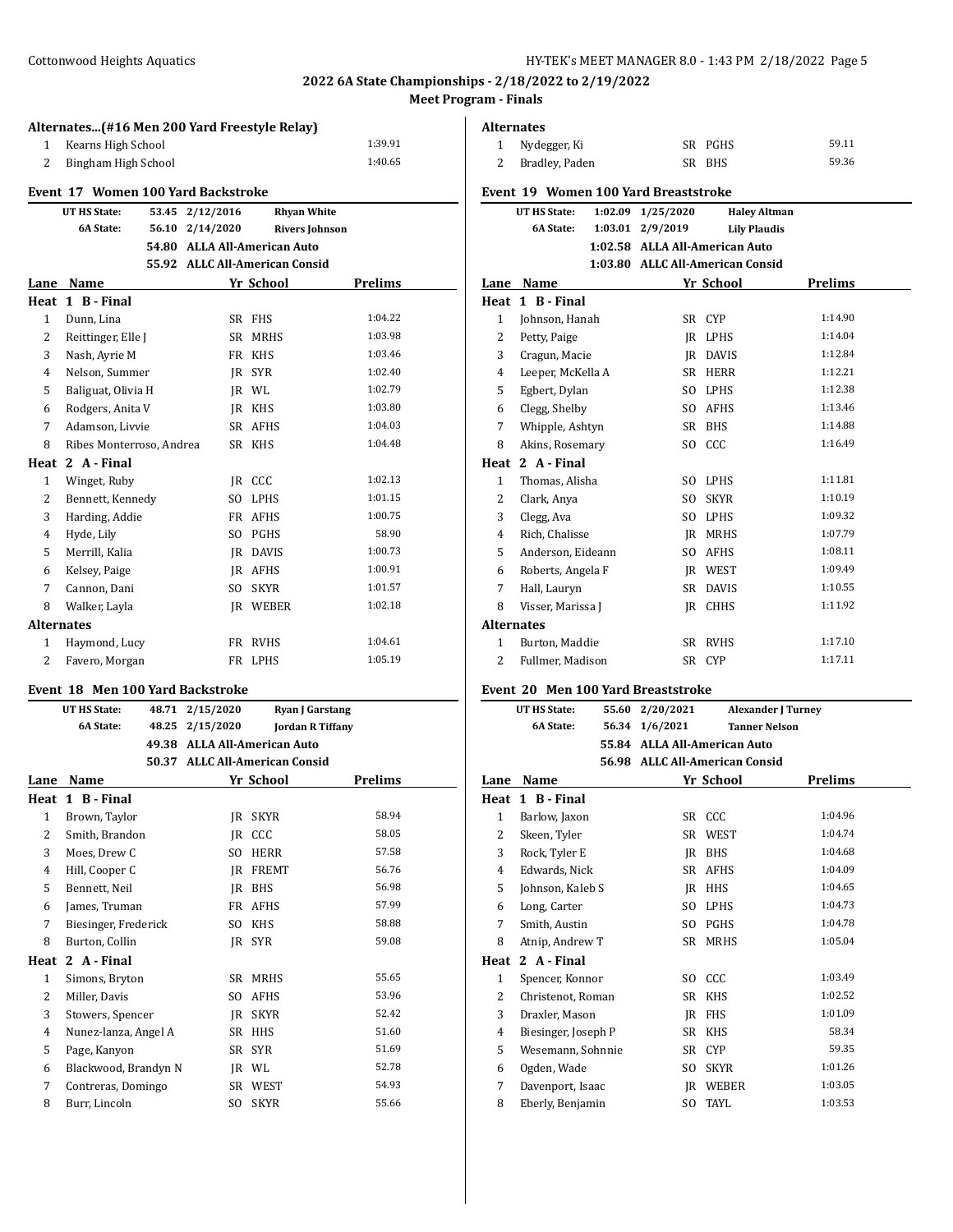## **Alternates...(#16 Men 200 Yard Freestyle Relay)** 1 Kearns High School 1:39.91 Bingham High School 1:40.65

# **Event 17 Women 100 Yard Backstroke**

|                   | UT HS State:             | 53.45 | 2/12/2016       | <b>Rhyan White</b>             |                |
|-------------------|--------------------------|-------|-----------------|--------------------------------|----------------|
|                   | <b>6A State:</b>         |       | 56.10 2/14/2020 | <b>Rivers Johnson</b>          |                |
|                   |                          |       |                 | 54.80 ALLA All-American Auto   |                |
|                   |                          |       |                 | 55.92 ALLC All-American Consid |                |
| Lane              | Name                     |       |                 | Yr School                      | <b>Prelims</b> |
| Heat              | 1 B - Final              |       |                 |                                |                |
| 1                 | Dunn, Lina               |       | SR              | <b>FHS</b>                     | 1:04.22        |
| 2                 | Reittinger, Elle J       |       | <b>SR</b>       | <b>MRHS</b>                    | 1:03.98        |
| 3                 | Nash, Ayrie M            |       | FR              | <b>KHS</b>                     | 1:03.46        |
| 4                 | Nelson, Summer           |       | IR              | <b>SYR</b>                     | 1:02.40        |
| 5                 | Baliguat, Olivia H       |       |                 | IR WL                          | 1:02.79        |
| 6                 | Rodgers, Anita V         |       | IR              | <b>KHS</b>                     | 1:03.80        |
| 7                 | Adamson, Livvie          |       | SR              | <b>AFHS</b>                    | 1:04.03        |
| 8                 | Ribes Monterroso, Andrea |       | SR              | <b>KHS</b>                     | 1:04.48        |
| Heat              | 2 A - Final              |       |                 |                                |                |
| 1                 | Winget, Ruby             |       | IR              | CCC                            | 1:02.13        |
| 2                 | Bennett, Kennedy         |       | S <sub>O</sub>  | <b>LPHS</b>                    | 1:01.15        |
| 3                 | Harding, Addie           |       | FR              | <b>AFHS</b>                    | 1:00.75        |
| $\overline{4}$    | Hyde, Lily               |       | S <sub>O</sub>  | PGHS                           | 58.90          |
| 5                 | Merrill, Kalia           |       | IR              | <b>DAVIS</b>                   | 1:00.73        |
| 6                 | Kelsey, Paige            |       | IR              | <b>AFHS</b>                    | 1:00.91        |
| 7                 | Cannon, Dani             |       | S <sub>O</sub>  | <b>SKYR</b>                    | 1:01.57        |
| 8                 | Walker, Layla            |       | IR              | WEBER                          | 1:02.18        |
| <b>Alternates</b> |                          |       |                 |                                |                |
| 1                 | Haymond, Lucy            |       | FR              | <b>RVHS</b>                    | 1:04.61        |
| $\overline{c}$    | Favero, Morgan           |       | FR              | <b>LPHS</b>                    | 1:05.19        |

### **Event 18 Men 100 Yard Backstroke**

|              | <b>UT HS State:</b>  | 48.71 | 2/15/2020      | <b>Ryan J Garstang</b>          |         |
|--------------|----------------------|-------|----------------|---------------------------------|---------|
|              | 6A State:            | 48.25 | 2/15/2020      | <b>Jordan R Tiffany</b>         |         |
|              |                      | 49.38 |                | <b>ALLA All-American Auto</b>   |         |
|              |                      | 50.37 |                | <b>ALLC All-American Consid</b> |         |
| Lane         | Name                 |       |                | Yr School                       | Prelims |
| Heat         | 1 B - Final          |       |                |                                 |         |
| 1            | Brown, Taylor        |       | JR.            | <b>SKYR</b>                     | 58.94   |
| 2            | Smith, Brandon       |       | IR             | CCC                             | 58.05   |
| 3            | Moes, Drew C         |       | S <sub>O</sub> | <b>HERR</b>                     | 57.58   |
| 4            | Hill, Cooper C       |       | IR             | <b>FREMT</b>                    | 56.76   |
| 5            | Bennett, Neil        |       | JR             | <b>BHS</b>                      | 56.98   |
| 6            | James, Truman        |       | <b>FR</b>      | <b>AFHS</b>                     | 57.99   |
| 7            | Biesinger, Frederick |       | S <sub>O</sub> | <b>KHS</b>                      | 58.88   |
| 8            | Burton, Collin       |       | IR             | <b>SYR</b>                      | 59.08   |
| Heat         | 2 A - Final          |       |                |                                 |         |
| $\mathbf{1}$ | Simons, Bryton       |       | SR             | <b>MRHS</b>                     | 55.65   |
| 2            | Miller, Davis        |       | SO.            | <b>AFHS</b>                     | 53.96   |
| 3            | Stowers, Spencer     |       | IR             | <b>SKYR</b>                     | 52.42   |
| 4            | Nunez-lanza, Angel A |       | <b>SR</b>      | <b>HHS</b>                      | 51.60   |
| 5            | Page, Kanyon         |       | <b>SR</b>      | <b>SYR</b>                      | 51.69   |
| 6            | Blackwood, Brandyn N |       | JR.            | WL                              | 52.78   |
| 7            | Contreras, Domingo   |       | SR             | WEST                            | 54.93   |
| 8            | Burr, Lincoln        |       | SO.            | <b>SKYR</b>                     | 55.66   |

|                   | Alternates                           |         |                                  |                 |                                            |  |  |  |
|-------------------|--------------------------------------|---------|----------------------------------|-----------------|--------------------------------------------|--|--|--|
| $\mathbf{1}$      | Nydegger, Ki                         |         |                                  | SR PGHS         | 59.11                                      |  |  |  |
| 2                 | Bradley, Paden                       |         |                                  | SR BHS          | 59.36                                      |  |  |  |
|                   | Event 19 Women 100 Yard Breaststroke |         |                                  |                 |                                            |  |  |  |
|                   |                                      |         |                                  |                 |                                            |  |  |  |
|                   | UT HS State:<br><b>6A State:</b>     | 1:02.09 | 1/25/2020<br>1:03.01 2/9/2019    |                 | <b>Haley Altman</b><br><b>Lily Plaudis</b> |  |  |  |
|                   |                                      |         | 1:02.58 ALLA All-American Auto   |                 |                                            |  |  |  |
|                   |                                      |         | 1:03.80 ALLC All-American Consid |                 |                                            |  |  |  |
| Lane              | <b>Name</b>                          |         |                                  | Yr School       | <b>Prelims</b>                             |  |  |  |
| Heat              | 1 B - Final                          |         |                                  |                 |                                            |  |  |  |
| $\mathbf{1}$      | Johnson, Hanah                       |         |                                  | SR CYP          | 1:14.90                                    |  |  |  |
| $\overline{2}$    | Petty, Paige                         |         |                                  | IR LPHS         | 1:14.04                                    |  |  |  |
| 3                 | Cragun, Macie                        |         |                                  | <b>IR DAVIS</b> | 1:12.84                                    |  |  |  |
| 4                 | Leeper, McKella A                    |         |                                  | SR HERR         | 1:12.21                                    |  |  |  |
| 5                 | Egbert, Dylan                        |         |                                  | SO LPHS         | 1:12.38                                    |  |  |  |
| 6                 | Clegg, Shelby                        |         |                                  | SO AFHS         | 1:13.46                                    |  |  |  |
| 7                 | Whipple, Ashtyn                      |         |                                  | SR BHS          | 1:14.88                                    |  |  |  |
| 8                 | Akins, Rosemary                      |         |                                  | SO CCC          | 1:16.49                                    |  |  |  |
|                   | Heat 2 A-Final                       |         |                                  |                 |                                            |  |  |  |
| $\mathbf{1}$      | Thomas, Alisha                       |         |                                  | SO LPHS         | 1:11.81                                    |  |  |  |
| 2                 | Clark, Anya                          |         | SO.                              | <b>SKYR</b>     | 1:10.19                                    |  |  |  |
| 3                 | Clegg, Ava                           |         |                                  | SO LPHS         | 1:09.32                                    |  |  |  |
| 4                 | Rich, Chalisse                       |         |                                  | <b>IR MRHS</b>  | 1:07.79                                    |  |  |  |
| 5                 | Anderson, Eideann                    |         |                                  | SO AFHS         | 1:08.11                                    |  |  |  |
| 6                 | Roberts, Angela F                    |         |                                  | <b>IR WEST</b>  | 1:09.49                                    |  |  |  |
| 7                 | Hall, Lauryn                         |         |                                  | SR DAVIS        | 1:10.55                                    |  |  |  |
| 8                 | Visser, Marissa J                    |         |                                  | JR CHHS         | 1:11.92                                    |  |  |  |
| <b>Alternates</b> |                                      |         |                                  |                 |                                            |  |  |  |
| 1                 | Burton, Maddie                       |         |                                  | SR RVHS         | 1:17.10                                    |  |  |  |
| 2                 | Fullmer, Madison                     |         |                                  | SR CYP          | 1:17.11                                    |  |  |  |
|                   |                                      |         |                                  |                 |                                            |  |  |  |
|                   | Event 20 Men 100 Yard Breaststroke   |         |                                  |                 |                                            |  |  |  |
|                   | IIT HS State:                        |         | 55.60 2/20/2021                  |                 | Alexander I Turnev                         |  |  |  |

|              | UT HS State:        | 55.60 | 2/20/2021                      |             | <b>Alexander J Turney</b> |
|--------------|---------------------|-------|--------------------------------|-------------|---------------------------|
|              | <b>6A State:</b>    | 56.34 | 1/6/2021                       |             | <b>Tanner Nelson</b>      |
|              |                     |       | 55.84 ALLA All-American Auto   |             |                           |
|              |                     |       | 56.98 ALLC All-American Consid |             |                           |
| Lane         | Name                |       |                                | Yr School   | Prelims                   |
| Heat         | 1 B - Final         |       |                                |             |                           |
| $\mathbf{1}$ | Barlow, Jaxon       |       |                                | SR CCC      | 1:04.96                   |
| 2            | Skeen, Tyler        |       | <b>SR</b>                      | WEST        | 1:04.74                   |
| 3            | Rock, Tyler E       |       | IR                             | <b>BHS</b>  | 1:04.68                   |
| 4            | Edwards, Nick       |       | SR                             | AFHS        | 1:04.09                   |
| 5            | Johnson, Kaleb S    |       | IR                             | <b>HHS</b>  | 1:04.65                   |
| 6            | Long, Carter        |       | SO.                            | <b>LPHS</b> | 1:04.73                   |
| 7            | Smith, Austin       |       | SO.                            | PGHS        | 1:04.78                   |
| 8            | Atnip, Andrew T     |       | SR                             | <b>MRHS</b> | 1:05.04                   |
| Heat         | 2 A - Final         |       |                                |             |                           |
| $\mathbf{1}$ | Spencer, Konnor     |       | SO.                            | CCC         | 1:03.49                   |
| 2            | Christenot, Roman   |       | SR                             | <b>KHS</b>  | 1:02.52                   |
| 3            | Draxler, Mason      |       | IR                             | FHS         | 1:01.09                   |
| 4            | Biesinger, Joseph P |       | <b>SR</b>                      | <b>KHS</b>  | 58.34                     |
| 5            | Wesemann, Sohnnie   |       | SR                             | <b>CYP</b>  | 59.35                     |
| 6            | Ogden, Wade         |       | SO.                            | <b>SKYR</b> | 1:01.26                   |
| 7            | Davenport, Isaac    |       | IR                             | WEBER       | 1:03.05                   |
| 8            | Eberly, Benjamin    |       | SO.                            | TAYL        | 1:03.53                   |